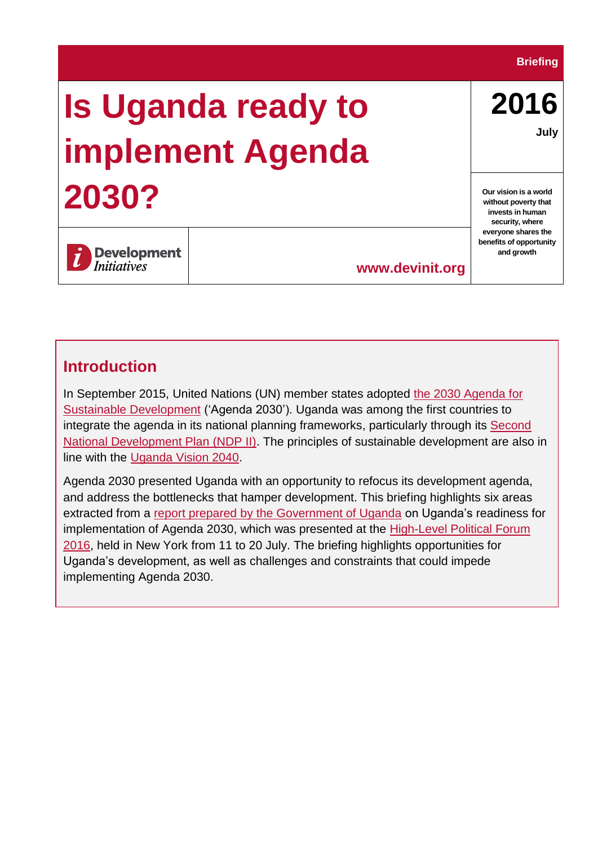#### **Briefing**

# **Is Uganda ready to implement Agenda 2030?**

**2016 July**

**Our vision is a world without poverty that invests in human security, where everyone shares the benefits of opportunity and growth**

**Development** *Initiatives* 

**www.devinit.org**

#### **Introduction**

In September 2015, United Nations (UN) member states adopted [the 2030 Agenda for](https://www.unglobalcompact.org/what-is-gc/our-work/sustainable-development/sdgs)  [Sustainable Development](https://www.unglobalcompact.org/what-is-gc/our-work/sustainable-development/sdgs) ('Agenda 2030'). Uganda was among the first countries to integrate the agenda in its national planning frameworks, particularly through its [Second](http://npa.ug/wp-content/uploads/NDPII-Final.pdf)  [National Development Plan \(NDP II\).](http://npa.ug/wp-content/uploads/NDPII-Final.pdf) The principles of sustainable development are also in line with the [Uganda Vision 2040.](http://npa.ug/wp-content/themes/npatheme/documents/vision2040.pdf)

Agenda 2030 presented Uganda with an opportunity to refocus its development agenda, and address the bottlenecks that hamper development. This briefing highlights six areas extracted from a [report prepared by the Government of Uganda](https://sustainabledevelopment.un.org/content/documents/10689Uganda%20Review%20Report_CDs1.pdf) on Uganda's readiness for implementation of Agenda 2030, which was presented at the [High-Level Political Forum](https://sustainabledevelopment.un.org/index.php?page=view&type=13&nr=1766&menu=1634) [2016,](https://sustainabledevelopment.un.org/index.php?page=view&type=13&nr=1766&menu=1634) held in New York from 11 to 20 July. The briefing highlights opportunities for Uganda's development, as well as challenges and constraints that could impede implementing Agenda 2030.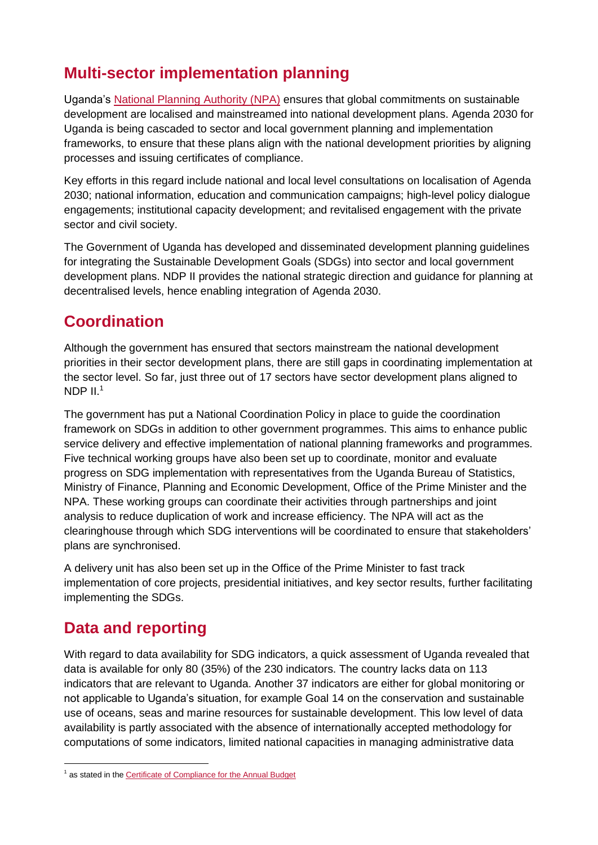# **Multi-sector implementation planning**

Uganda's [National Planning Authority \(NPA\)](http://npa.ug/about-npa/background/) ensures that global commitments on sustainable development are localised and mainstreamed into national development plans. Agenda 2030 for Uganda is being cascaded to sector and local government planning and implementation frameworks, to ensure that these plans align with the national development priorities by aligning processes and issuing certificates of compliance.

Key efforts in this regard include national and local level consultations on localisation of Agenda 2030; national information, education and communication campaigns; high-level policy dialogue engagements; institutional capacity development; and revitalised engagement with the private sector and civil society.

The Government of Uganda has developed and disseminated development planning guidelines for integrating the Sustainable Development Goals (SDGs) into sector and local government development plans. NDP II provides the national strategic direction and guidance for planning at decentralised levels, hence enabling integration of Agenda 2030.

# **Coordination**

Although the government has ensured that sectors mainstream the national development priorities in their sector development plans, there are still gaps in coordinating implementation at the sector level. So far, just three out of 17 sectors have sector development plans aligned to NDP  $II<sup>1</sup>$ 

The government has put a National Coordination Policy in place to guide the coordination framework on SDGs in addition to other government programmes. This aims to enhance public service delivery and effective implementation of national planning frameworks and programmes. Five technical working groups have also been set up to coordinate, monitor and evaluate progress on SDG implementation with representatives from the Uganda Bureau of Statistics, Ministry of Finance, Planning and Economic Development, Office of the Prime Minister and the NPA. These working groups can coordinate their activities through partnerships and joint analysis to reduce duplication of work and increase efficiency. The NPA will act as the clearinghouse through which SDG interventions will be coordinated to ensure that stakeholders' plans are synchronised.

A delivery unit has also been set up in the Office of the Prime Minister to fast track implementation of core projects, presidential initiatives, and key sector results, further facilitating implementing the SDGs.

# **Data and reporting**

With regard to data availability for SDG indicators, a quick assessment of Uganda revealed that data is available for only 80 (35%) of the 230 indicators. The country lacks data on 113 indicators that are relevant to Uganda. Another 37 indicators are either for global monitoring or not applicable to Uganda's situation, for example Goal 14 on the [conservation](https://en.wikipedia.org/wiki/Ocean_conservation) and sustainable use of oceans, seas and [marine resources](https://en.wikipedia.org/wiki/Marine_ecosystem) for sustainable development. This low level of data availability is partly associated with the absence of internationally accepted methodology for computations of some indicators, limited national capacities in managing administrative data

<sup>&</sup>lt;sup>1</sup> as stated in th[e Certificate of Compliance for the Annual Budget](http://npa.ug/wp-content/uploads/Certificate-of-Compliance-FY2015-16.pdf)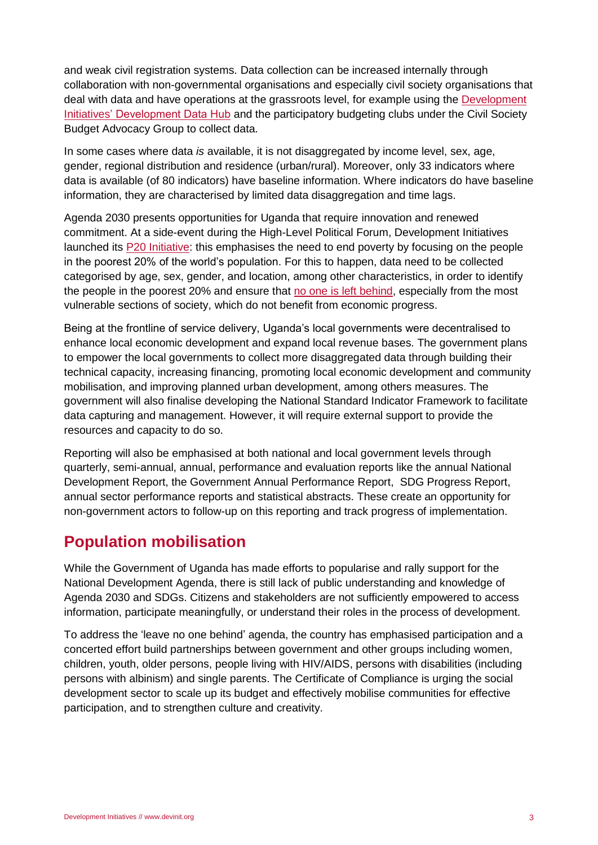and weak civil registration systems. Data collection can be increased internally through collaboration with non-governmental organisations and especially civil society organisations that deal with data and have operations at the grassroots level, for example using the [Development](http://devinit.org/#!/country/uganda)  [Initiatives' Development Data Hub](http://devinit.org/#!/country/uganda) and the participatory budgeting clubs under the Civil Society Budget Advocacy Group to collect data.

In some cases where data *is* available, it is not disaggregated by income level, sex, age, gender, regional distribution and residence (urban/rural). Moreover, only 33 indicators where data is available (of 80 indicators) have baseline information. Where indicators do have baseline information, they are characterised by limited data disaggregation and time lags.

Agenda 2030 presents opportunities for Uganda that require innovation and renewed commitment. At a side-event during the High-Level Political Forum, Development Initiatives launched its [P20 Initiative:](http://devinit.org/#!/page/p20i) this emphasises the need to end poverty by focusing on the people in the poorest 20% of the world's population. For this to happen, data need to be collected categorised by age, sex, gender, and location, among other characteristics, in order to identify the people in the poorest 20% and ensure that [no one is left behind,](https://www.odi.org/sites/odi.org.uk/files/odi-assets/publications-opinion-files/9534.pdf) especially from the most vulnerable sections of society, which do not benefit from economic progress.

Being at the frontline of service delivery, Uganda's local governments were decentralised to enhance local economic development and expand local revenue bases. The government plans to empower the local governments to collect more disaggregated data through building their technical capacity, increasing financing, promoting local economic development and community mobilisation, and improving planned urban development, among others measures. The government will also finalise developing the National Standard Indicator Framework to facilitate data capturing and management. However, it will require external support to provide the resources and capacity to do so.

Reporting will also be emphasised at both national and local government levels through quarterly, semi-annual, annual, performance and evaluation reports like the annual National Development Report, the Government Annual Performance Report, SDG Progress Report, annual sector performance reports and statistical abstracts. These create an opportunity for non-government actors to follow-up on this reporting and track progress of implementation.

#### **Population mobilisation**

While the Government of Uganda has made efforts to popularise and rally support for the National Development Agenda, there is still lack of public understanding and knowledge of Agenda 2030 and SDGs. Citizens and stakeholders are not sufficiently empowered to access information, participate meaningfully, or understand their roles in the process of development.

To address the 'leave no one behind' agenda, the country has emphasised participation and a concerted effort build partnerships between government and other groups including women, children, youth, older persons, people living with HIV/AIDS, persons with disabilities (including persons with albinism) and single parents. The Certificate of Compliance is urging the social development sector to scale up its budget and effectively mobilise communities for effective participation, and to strengthen culture and creativity.